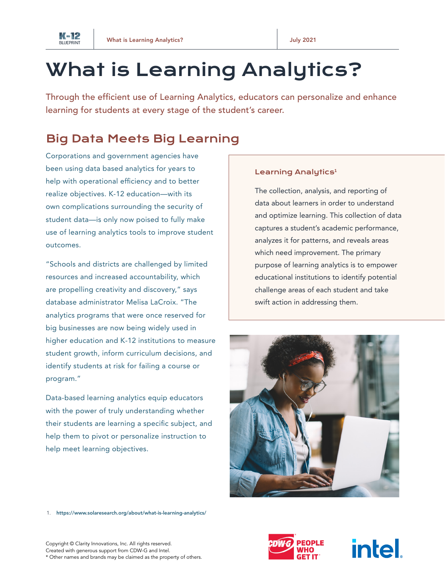

# What is Learning Analytics?

Through the efficient use of Learning Analytics, educators can personalize and enhance learning for students at every stage of the student's career.

## Big Data Meets Big Learning

Corporations and government agencies have been using data based analytics for years to help with operational efficiency and to better realize objectives. K-12 education—with its own complications surrounding the security of student data—is only now poised to fully make use of learning analytics tools to improve student outcomes.

"Schools and districts are challenged by limited resources and increased accountability, which are propelling creativity and discovery," says database administrator Melisa LaCroix. "The analytics programs that were once reserved for big businesses are now being widely used in higher education and K-12 institutions to measure student growth, inform curriculum decisions, and identify students at risk for failing a course or program."

Data-based learning analytics equip educators with the power of truly understanding whether their students are learning a specific subject, and help them to pivot or personalize instruction to help meet learning objectives.

#### Learning Analytics<sup>1</sup>

The collection, analysis, and reporting of data about learners in order to understand and optimize learning. This collection of data captures a student's academic performance, analyzes it for patterns, and reveals areas which need improvement. The primary purpose of learning analytics is to empower educational institutions to identify potential challenge areas of each student and take swift action in addressing them.



1. [https://www.solaresearch.org/about/what-is-learning-analytics/]( https://www.solaresearch.org/about/what-is-learning-analytics/)



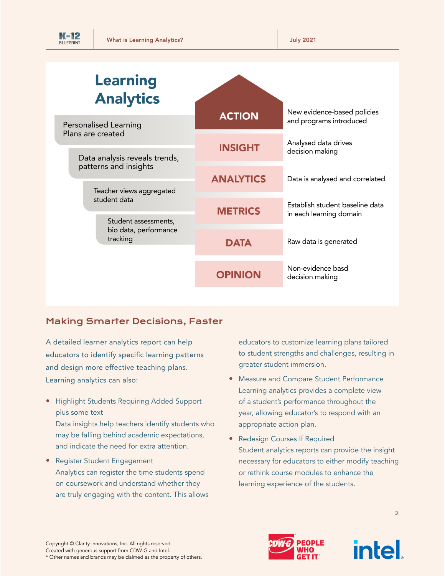| <b>BLUEPRINT</b> |  |
|------------------|--|

| <b>Learning</b><br><b>Analytics</b>                                                                                     |                  |                                                            |
|-------------------------------------------------------------------------------------------------------------------------|------------------|------------------------------------------------------------|
| Personalised Learning                                                                                                   | <b>ACTION</b>    | New evidence-based policies<br>and programs introduced     |
| Plans are created<br>Data analysis reveals trends,<br>patterns and insights<br>Teacher views aggregated<br>student data | <b>INSIGHT</b>   | Analysed data drives<br>decision making                    |
|                                                                                                                         | <b>ANALYTICS</b> | Data is analysed and correlated                            |
|                                                                                                                         | <b>METRICS</b>   | Establish student baseline data<br>in each learning domain |
| Student assessments,<br>bio data, performance<br>tracking                                                               |                  |                                                            |
|                                                                                                                         | <b>DATA</b>      | Raw data is generated                                      |
|                                                                                                                         | <b>OPINION</b>   | Non-evidence basd<br>decision making                       |

### Making Smarter Decisions, Faster

A detailed learner analytics report can help educators to identify specific learning patterns and design more effective teaching plans. Learning analytics can also:

• Highlight Students Requiring Added Support plus some text

Data insights help teachers identify students who may be falling behind academic expectations, and indicate the need for extra attention.

• Register Student Engagement Analytics can register the time students spend on coursework and understand whether they are truly engaging with the content. This allows educators to customize learning plans tailored to student strengths and challenges, resulting in greater student immersion.

- Measure and Compare Student Performance Learning analytics provides a complete view of a student's performance throughout the year, allowing educator's to respond with an appropriate action plan.
- Redesign Courses If Required Student analytics reports can provide the insight necessary for educators to either modify teaching or rethink course modules to enhance the learning experience of the students.